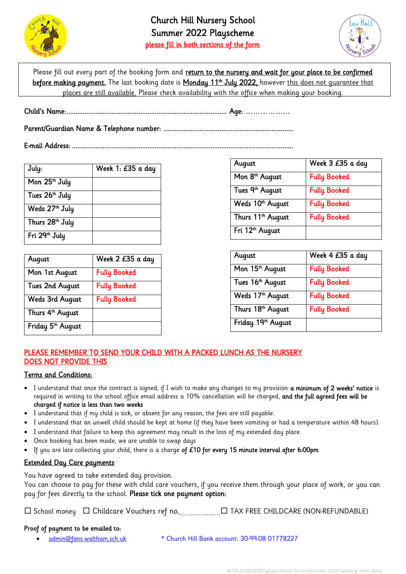



Please fill out every part of the booking form and return to the nursery and wait for your place to be confirmed before making payment. The last booking date is Monday 11th July 2022, however <u>this does not guarantee that</u> places are still available. Please check availability with the office when making your booking.

Child's Name: ......................................................................................... Age: ………………

Parent/Guardian Name & Telephone number: ........................................................................

E-mail Address: ...........................................................................................................................

| July:                      | Week 1: £35 a day |
|----------------------------|-------------------|
| Mon 25 <sup>th</sup> July  |                   |
| Tues 26 <sup>th</sup> July |                   |
| Weds 27 <sup>th</sup> July |                   |
| Thurs 28th July            |                   |
| Fri 29th July              |                   |

| <b>August</b>                 | Week 2 £35 a day    |
|-------------------------------|---------------------|
| Mon 1st August                | <b>Fully Booked</b> |
| <b>Tues 2nd August</b>        | <b>Fully Booked</b> |
| <b>Weds 3rd August</b>        | <b>Fully Booked</b> |
| Thurs 4 <sup>th</sup> August  |                     |
| Friday 5 <sup>th</sup> August |                     |

| <b>August</b>                 | Week 3 £35 a day    |
|-------------------------------|---------------------|
| Mon 8 <sup>th</sup> August    | <b>Fully Booked</b> |
| Tues 9th August               | <b>Fully Booked</b> |
| Weds 10th August              | <b>Fully Booked</b> |
| Thurs 11 <sup>th</sup> August | <b>Fully Booked</b> |
| Fri 12 <sup>th</sup> August   |                     |

| August                       | Week 4 £35 a day    |
|------------------------------|---------------------|
| Mon 15 <sup>th</sup> August  | <b>Fully Booked</b> |
| Tues 16 <sup>th</sup> August | <b>Fully Booked</b> |
| Weds 17th August             | <b>Fully Booked</b> |
| Thurs 18th August            | <b>Fully Booked</b> |
| Friday 19th August           |                     |

## PLEASE REMEMBER TO SEND YOUR CHILD WITH A PACKED LUNCH AS THE NURSERY DOES NOT PROVIDE THIS

## Terms and Conditions:

- I understand that once the contract is signed, if I wish to make any changes to my provision **a minimum of 2 weeks' notice** is required in writing to the school office email address a 10% cancellation will be charged, and the full agreed fees will be charged if notice is less than two weeks
- I understand that if my child is sick, or absent for any reason, the fees are still payable.
- I understand that an unwell child should be kept at home (if they have been vomiting or had a temperature within 48 hours).
- I understand that failure to keep this agreement may result in the loss of my extended day place.
- Once booking has been made, we are unable to swap days
- If you are late collecting your child, there is a charge of £10 for every 15 minute interval after 6:00pm

## Extended Day Care payments

You have agreed to take extended day provision.

You can choose to pay for these with child care vouchers, if you receive them through your place of work, or you can pay for fees directly to the school. Please tick one payment option:

School money Childcare Vouchers ref no. TAX FREE CHILDCARE (NON-REFUNDABLE)

## Proof of payment to be emailed to:

[admin@fans.waltham.sch.uk](mailto:admin@fans.waltham.sch.uk) \* Church Hill Bank account: 30-99-08 01778227